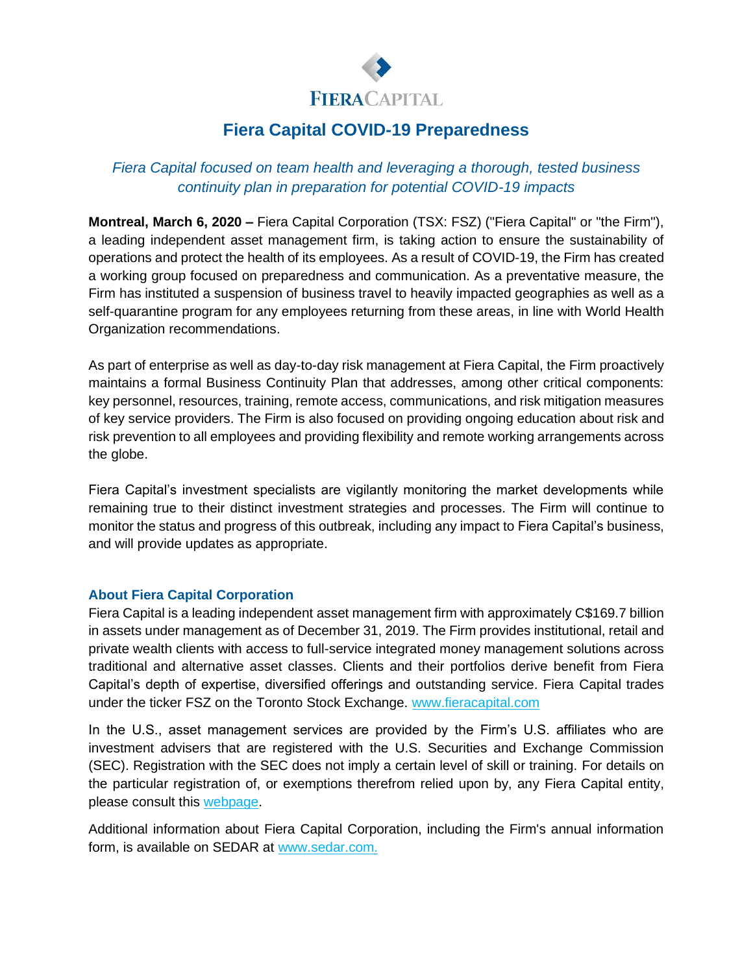

## **Fiera Capital COVID-19 Preparedness**

## *Fiera Capital focused on team health and leveraging a thorough, tested business continuity plan in preparation for potential COVID-19 impacts*

**Montreal, March 6, 2020 –** Fiera Capital Corporation (TSX: FSZ) ("Fiera Capital" or "the Firm"), a leading independent asset management firm, is taking action to ensure the sustainability of operations and protect the health of its employees. As a result of COVID-19, the Firm has created a working group focused on preparedness and communication. As a preventative measure, the Firm has instituted a suspension of business travel to heavily impacted geographies as well as a self-quarantine program for any employees returning from these areas, in line with World Health Organization recommendations.

As part of enterprise as well as day-to-day risk management at Fiera Capital, the Firm proactively maintains a formal Business Continuity Plan that addresses, among other critical components: key personnel, resources, training, remote access, communications, and risk mitigation measures of key service providers. The Firm is also focused on providing ongoing education about risk and risk prevention to all employees and providing flexibility and remote working arrangements across the globe.

Fiera Capital's investment specialists are vigilantly monitoring the market developments while remaining true to their distinct investment strategies and processes. The Firm will continue to monitor the status and progress of this outbreak, including any impact to Fiera Capital's business, and will provide updates as appropriate.

## **About Fiera Capital Corporation**

Fiera Capital is a leading independent asset management firm with approximately C\$169.7 billion in assets under management as of December 31, 2019. The Firm provides institutional, retail and private wealth clients with access to full-service integrated money management solutions across traditional and alternative asset classes. Clients and their portfolios derive benefit from Fiera Capital's depth of expertise, diversified offerings and outstanding service. Fiera Capital trades under the ticker FSZ on the Toronto Stock Exchange. [www.fieracapital.com](http://www.fieracapital.com/)

In the U.S., asset management services are provided by the Firm's U.S. affiliates who are investment advisers that are registered with the U.S. Securities and Exchange Commission (SEC). Registration with the SEC does not imply a certain level of skill or training. For details on the particular registration of, or exemptions therefrom relied upon by, any Fiera Capital entity, please consult this [webpage.](https://www.fieracapital.com/en/fiera-capital-entities)

Additional information about Fiera Capital Corporation, including the Firm's annual information form, is available on SEDAR at [www.sedar.com.](http://www.sedar.com/)